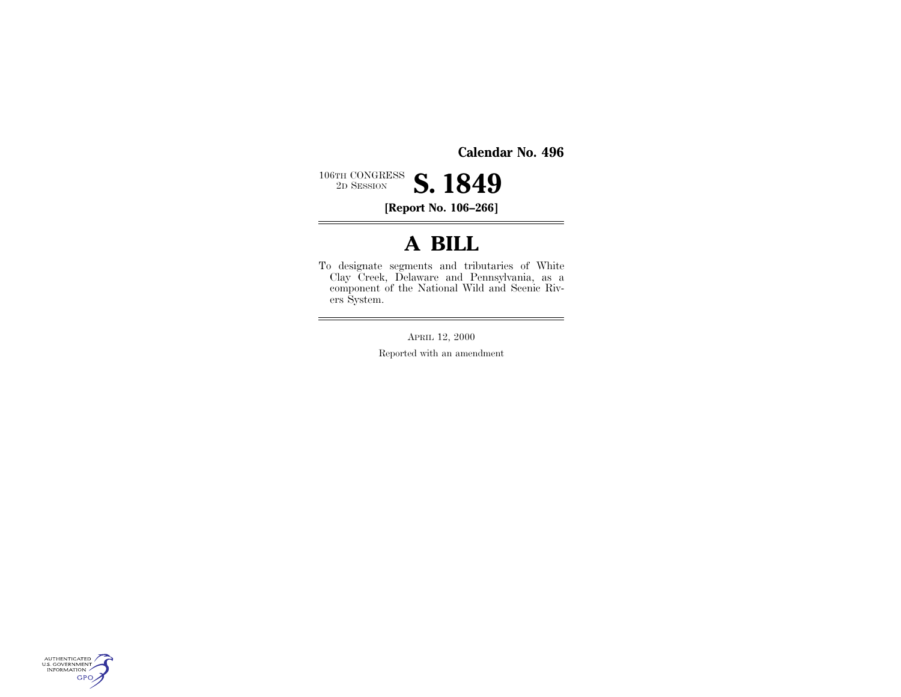**Calendar No. 496**

 $\equiv$ 

 $106\mathrm{TH}$  CONGRESS  $2\mathrm{D}$  SESSION 2D SESSION **S. 1849**

**[Report No. 106–266]**

### **A BILL**

To designate segments and tributaries of White Clay Creek, Delaware and Pennsylvania, as a component of the National Wild and Scenic Rivers System.

APRIL 12, 2000

Reported with an amendment

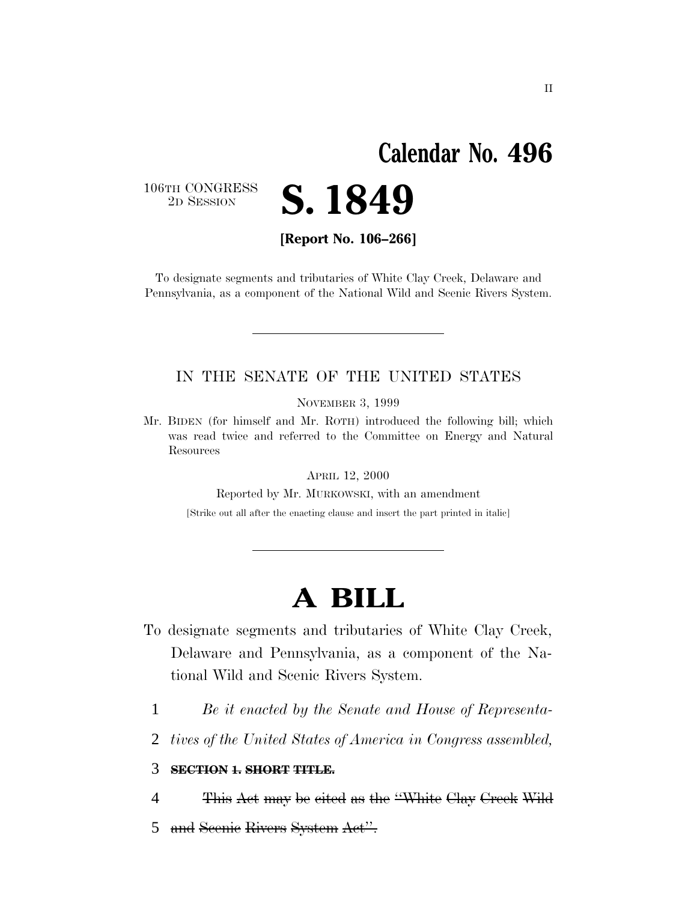## **Calendar No. 496**

106TH CONGRESS<br>2D SESSION



**[Report No. 106–266]**

To designate segments and tributaries of White Clay Creek, Delaware and Pennsylvania, as a component of the National Wild and Scenic Rivers System.

#### IN THE SENATE OF THE UNITED STATES

NOVEMBER 3, 1999

Mr. BIDEN (for himself and Mr. ROTH) introduced the following bill; which was read twice and referred to the Committee on Energy and Natural Resources

APRIL 12, 2000

Reported by Mr. MURKOWSKI, with an amendment

[Strike out all after the enacting clause and insert the part printed in italic]

# **A BILL**

- To designate segments and tributaries of White Clay Creek, Delaware and Pennsylvania, as a component of the National Wild and Scenic Rivers System.
	- 1 *Be it enacted by the Senate and House of Representa-*
	- 2 *tives of the United States of America in Congress assembled,*

#### 3 **SECTION 1. SHORT TITLE.**

- 4 This Act may be cited as the ''White Clay Creek Wild
- 5 and Scenic Rivers System Act''.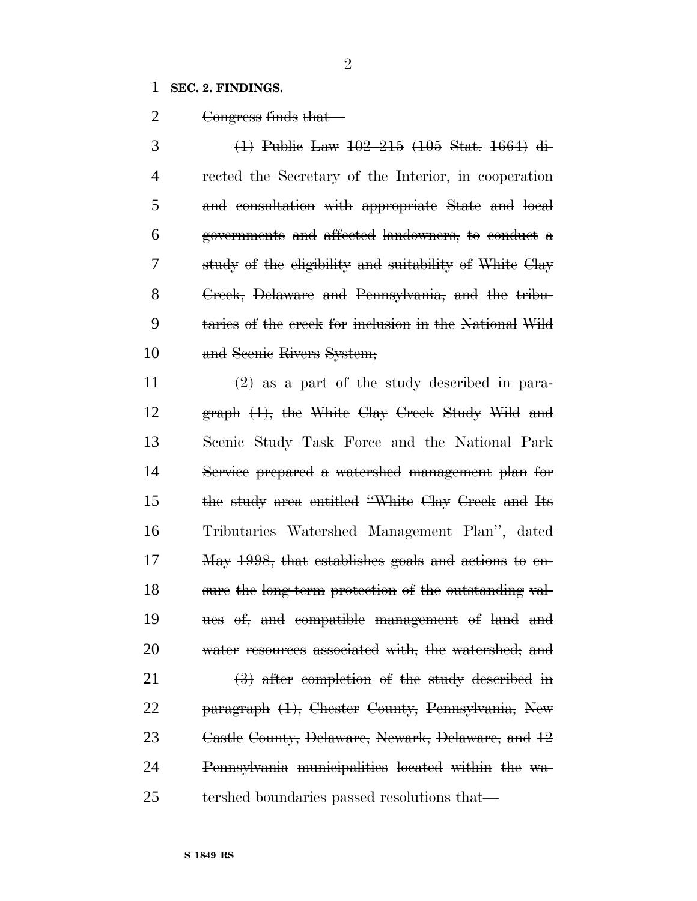#### **SEC. 2. FINDINGS.**

2 Congress finds that

 (1) Public Law 102–215 (105 Stat. 1664) di- rected the Secretary of the Interior, in cooperation and consultation with appropriate State and local governments and affected landowners, to conduct a study of the eligibility and suitability of White Clay Creek, Delaware and Pennsylvania, and the tribu- taries of the creek for inclusion in the National Wild and Scenic Rivers System;

 $\left(2\right)$  as a part of the study described in para- graph (1), the White Clay Creek Study Wild and 13 Seenie Study Task Force and the National Park Service prepared a watershed management plan for the study area entitled ''White Clay Creek and Its Tributaries Watershed Management Plan'', dated May 1998, that establishes goals and actions to en- sure the long-term protection of the outstanding val- ues of, and compatible management of land and 20 water resources associated with, the watershed; and (3) after completion of the study described in paragraph (1), Chester County, Pennsylvania, New Castle County, Delaware, Newark, Delaware, and 12

 Pennsylvania municipalities located within the wa-tershed boundaries passed resolutions that—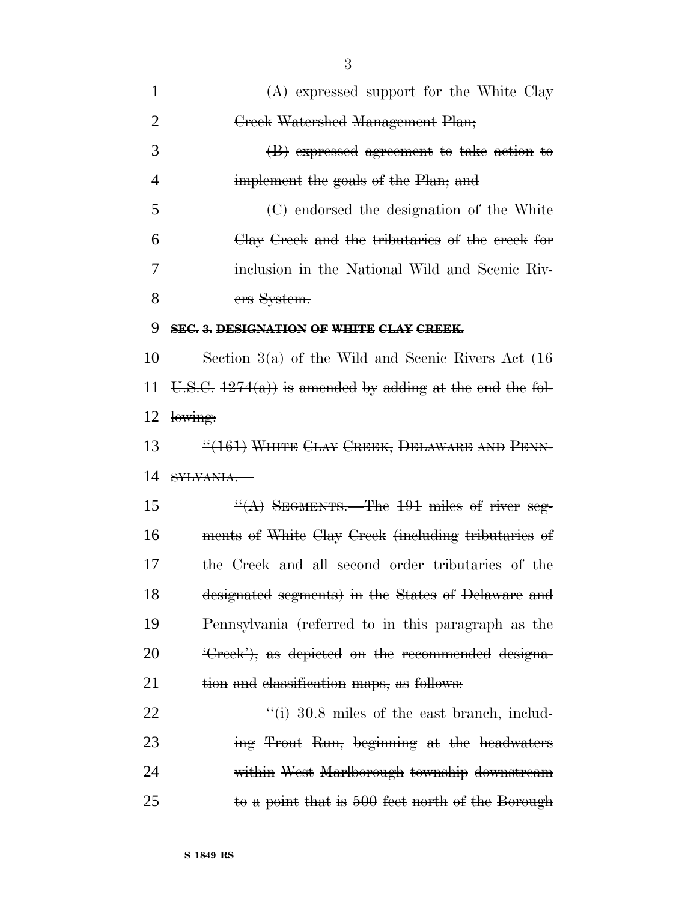| $\mathbf{1}$   | $(A)$ expressed support for the White Clay                  |
|----------------|-------------------------------------------------------------|
| $\overline{2}$ | Creek Watershed Management Plan;                            |
| 3              | (B) expressed agreement to take action to                   |
| 4              | implement the goals of the Plan, and                        |
| 5              | $\Theta$ endorsed the designation of the White              |
| 6              | Clay Creek and the tributaries of the creek for             |
| 7              | inclusion in the National Wild and Scenic Riv-              |
| 8              | ers System.                                                 |
| 9              | SEC. 3. DESIGNATION OF WHITE CLAY CREEK.                    |
| 10             | Section $3(a)$ of the Wild and Seenie Rivers Act $(16)$     |
| 11             | U.S.C. $1274(a)$ is amended by adding at the end the fol-   |
| 12             | lowing:                                                     |
| 13             | "(161) WHITE CLAY CREEK, DELAWARE AND PENN-                 |
| 14             | SYLVANIA.                                                   |
| 15             | $\frac{H(A)}{B}$ SEGMENTS. The 191 miles of river seg-      |
| 16             | ments of White Clay Creek (including tributaries of         |
| 17             | the Creek and all second order tributaries of the           |
| 18             | designated segments) in the States of Delaware and          |
| 19             | Pennsylvania (referred to in this paragraph as the          |
| <b>20</b>      | <del>Creek'), as depicted on the recommended designa-</del> |
| 21             | tion and elassification maps, as follows:                   |
| 22             | $\frac{11}{10}$ 30.8 miles of the east branch, includ-      |
| 23             | ing Trout Run, beginning at the headwaters                  |
| 24             | within West Marlborough township downstream                 |
| 25             | to a point that is 500 feet north of the Borough            |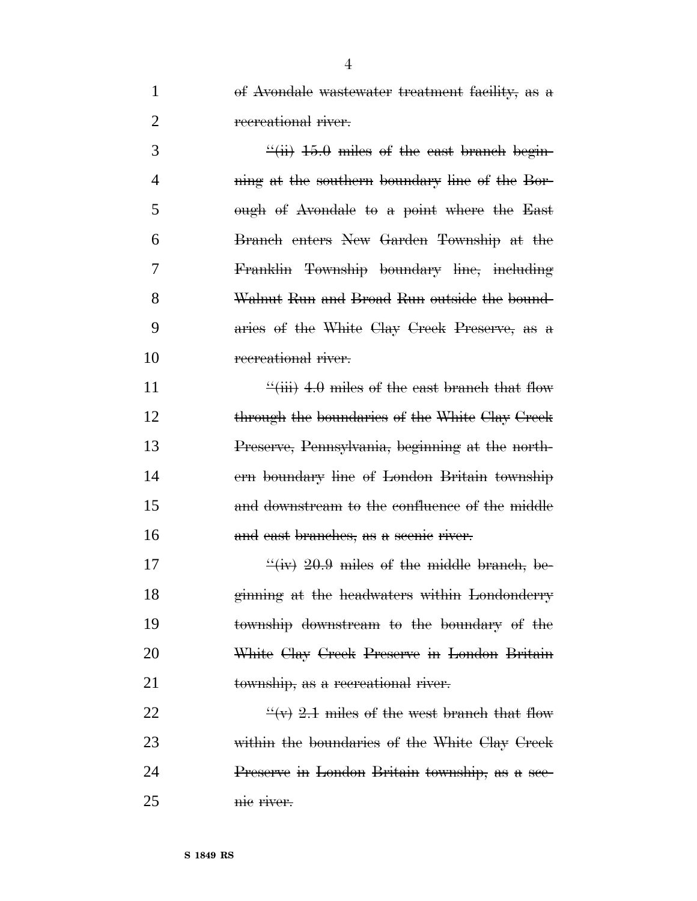of Avondale wastewater treatment facility, as a 2 recreational river.

 $\frac{3}{10}$   $\frac{15.0 \text{ miles of the east branch begin}}{100}$ **ning at the southern boundary line of the Bor-** ough of Avondale to a point where the East Branch enters New Garden Township at the Franklin Township boundary line, including Walnut Run and Broad Run outside the bound- aries of the White Clay Creek Preserve, as a 10 recreational river.

 $\frac{4}{11}$   $\frac{4.0 \text{ miles of the east branch that flow}}{1}$ 12 through the boundaries of the White Clay Creek Preserve, Pennsylvania, beginning at the north- ern boundary line of London Britain township and downstream to the confluence of the middle 16 and east branches, as a scenic river.

 $\frac{4}{10}$   $\frac{1}{20.9}$  miles of the middle branch, be- ginning at the headwaters within Londonderry township downstream to the boundary of the White Clay Creek Preserve in London Britain township, as a recreational river.

 $\frac{4}{x}$   $\frac{4}{x}$   $\frac{2.1}{x}$  miles of the west branch that flow within the boundaries of the White Clay Creek Preserve in London Britain township, as a sce-nic river.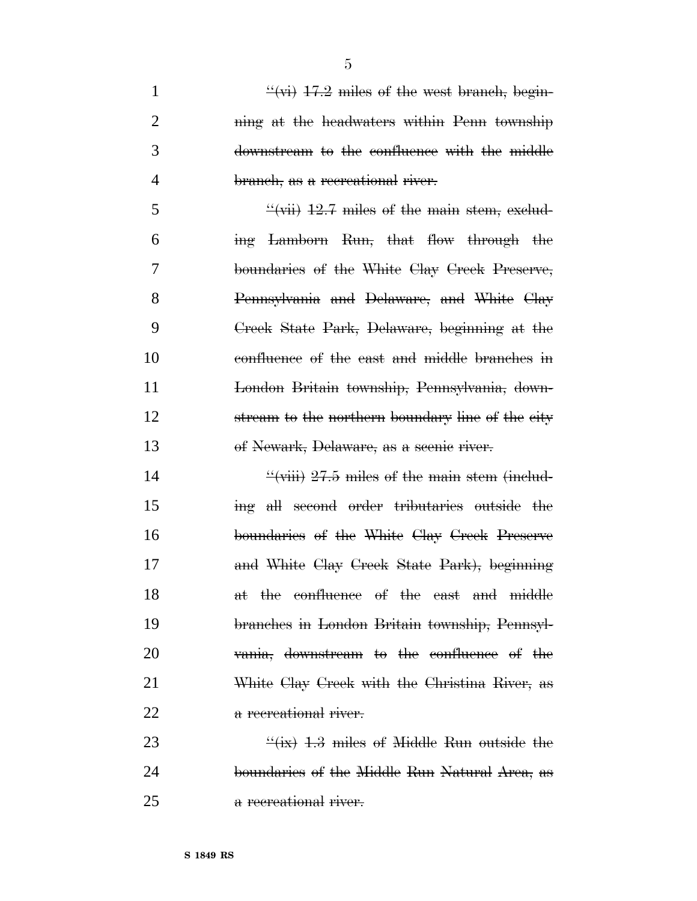$\frac{4}{17.2}$  miles of the west branch, begin-2 ning at the headwaters within Penn township downstream to the confluence with the middle branch, as a recreational river.

 $\frac{4}{12.7}$  miles of the main stem, exclud- ing Lamborn Run, that flow through the boundaries of the White Clay Creek Preserve, Pennsylvania and Delaware, and White Clay Creek State Park, Delaware, beginning at the confluence of the east and middle branches in London Britain township, Pennsylvania, down-12 stream to the northern boundary line of the city of Newark, Delaware, as a scenic river.

 $\frac{4}{10}$   $\frac{4}{10}$   $\frac{1}{27.5}$  miles of the main stem (includ- ing all second order tributaries outside the boundaries of the White Clay Creek Preserve and White Clay Creek State Park), beginning 18 at the confluence of the east and middle branches in London Britain township, Pennsyl- vania, downstream to the confluence of the White Clay Creek with the Christina River, as 22 a recreational river.

23  $\frac{4}{13}$  miles of Middle Run outside the boundaries of the Middle Run Natural Area, as a recreational river.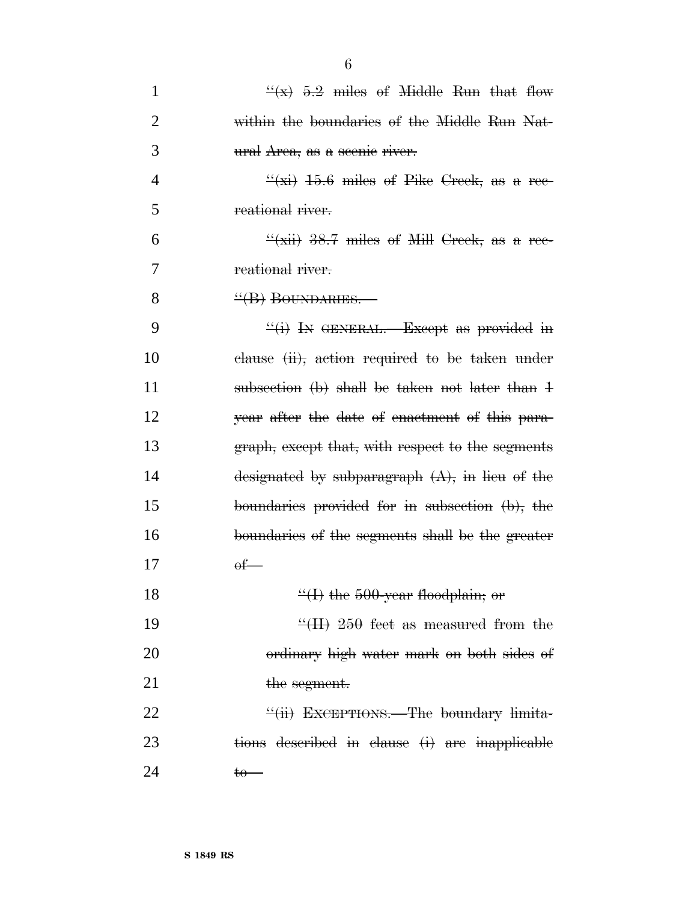| $\mathbf{1}$   | $\frac{1}{2}$ 5.2 miles of Middle Run that flow                     |
|----------------|---------------------------------------------------------------------|
| $\overline{2}$ | within the boundaries of the Middle Run Nat-                        |
| 3              | ural Area, as a seenie river.                                       |
| $\overline{4}$ | $\frac{4}{15}$ + $\frac{15.6}{15.6}$ miles of Pike Creek, as a rec- |
| 5              | reational river.                                                    |
| 6              | $\frac{1}{2}(xii)$ 38.7 miles of Mill Creek, as a ree-              |
| 7              | reational river.                                                    |
| 8              | "(B) BOUNDARIES.-                                                   |
| 9              | $\frac{f'(i)}{i}$ In GENERAL.—Except as provided in                 |
| 10             | clause (ii), action required to be taken under                      |
| 11             | subsection (b) shall be taken not later than 1                      |
| 12             | year after the date of enactment of this para-                      |
| 13             | graph, except that, with respect to the segments                    |
| 14             | designated by subparagraph $(A)$ , in lieu of the                   |
| 15             | boundaries provided for in subsection $(b)$ , the                   |
| 16             | boundaries of the segments shall be the greater                     |
| 17             | $\theta$ f                                                          |
| 18             | $\frac{44}{1}$ the 500-year floodplain; or                          |
| 19             | $\frac{1}{2}$ (II) 250 feet as measured from the                    |
| 20             | ordinary high water mark on both sides of                           |
| 21             | the segment.                                                        |
| 22             | "(ii) EXCEPTIONS.—The boundary limita-                              |
| 23             | tions described in clause (i) are inapplicable                      |
| 24             | <del>to−</del>                                                      |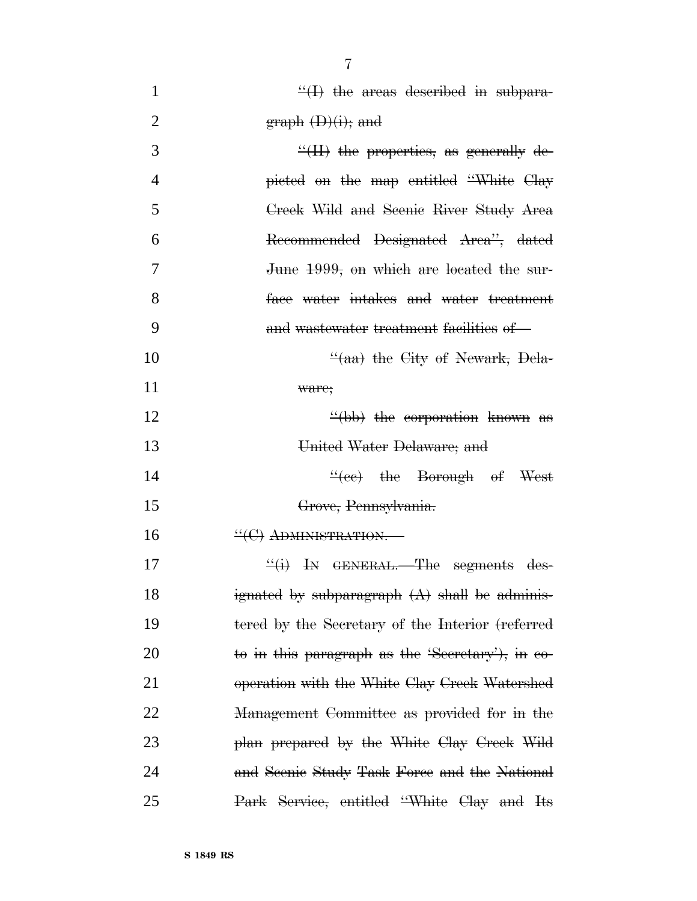| $\mathbf{1}$   | $\frac{H}{H}$ the areas described in subpara-    |
|----------------|--------------------------------------------------|
| $\overline{2}$ | $graph \left( D \right)(i);$ and                 |
| 3              | $\frac{H}{H}$ the properties, as generally de-   |
| $\overline{4}$ | picted on the map entitled "White Clay           |
| 5              | Creek Wild and Seenie River Study Area           |
| 6              | Recommended Designated Area", dated              |
| 7              | June 1999, on which are located the sur-         |
| 8              | face water intakes and water treatment           |
| 9              | and wastewater treatment facilities of           |
| 10             | $\frac{d}{dx}$ the City of Newark, Dela-         |
| 11             | ware;                                            |
| 12             | $\frac{4}{100}$ the corporation known as         |
| 13             | United Water Delaware; and                       |
| 14             | $\frac{4(16e)}{16}$ the Borough of West          |
| 15             | Grove, Pennsylvania.                             |
| 16             | $H$ (C) ADMINISTRATION.                          |
| 17             | $\frac{d}{dt}$ is GENERAL. The segments des-     |
| 18             | ignated by subparagraph $(A)$ shall be adminis-  |
| 19             | tered by the Secretary of the Interior (referred |
| 20             | to in this paragraph as the 'Secretary'), in co- |
| 21             | operation with the White Clay Creek Watershed    |
| 22             | Management Committee as provided for in the      |
| 23             | plan prepared by the White Clay Creek Wild       |
| 24             | and Seenie Study Task Force and the National     |
| 25             | Park Service, entitled "White Clay and Its       |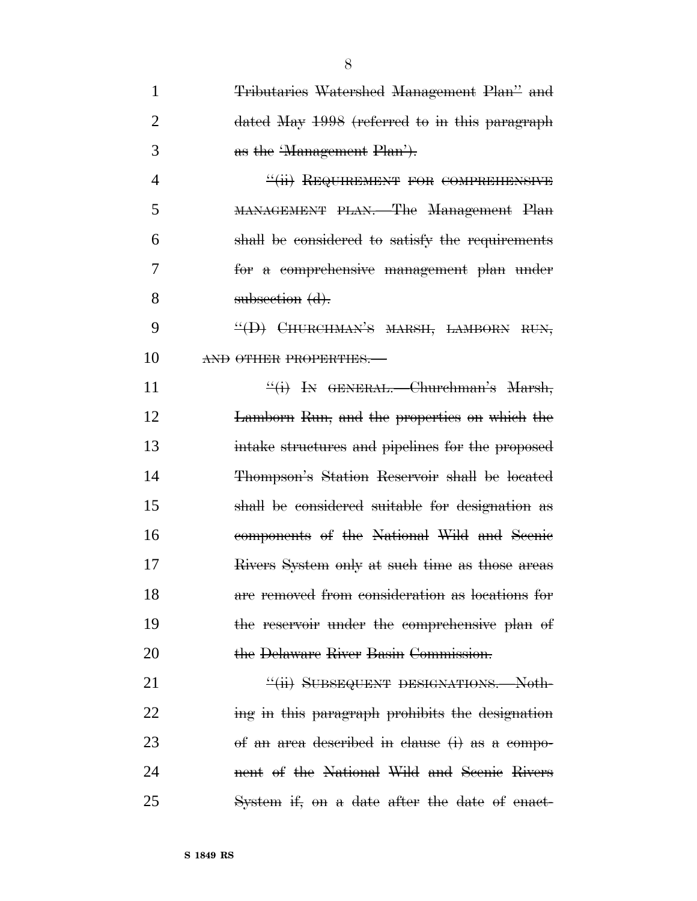| 1  | Tributaries Watershed Management Plan" and       |
|----|--------------------------------------------------|
| 2  | dated May 1998 (referred to in this paragraph    |
| 3  | as the 'Management Plan').                       |
| 4  | "(ii) REQUIREMENT FOR COMPREHENSIVE              |
| 5  | MANAGEMENT PLAN.—The Management Plan             |
| 6  | shall be considered to satisfy the requirements  |
| 7  | for a comprehensive management plan under        |
| 8  | subsection (d).                                  |
| 9  | $\frac{H}{H}$ CHURCHMAN'S MARSH, LAMBORN RUN,    |
| 10 | AND OTHER PROPERTIES.                            |
| 11 | "(i) IN GENERAL. Churchman's Marsh,              |
| 12 | Lamborn Run, and the properties on which the     |
| 13 | intake structures and pipelines for the proposed |
| 14 | Thompson's Station Reservoir shall be located    |
| 15 | shall be considered suitable for designation as  |
| 16 | components of the National Wild and Scenic       |
| 17 | Rivers System only at such time as those areas   |
| 18 | are removed from consideration as locations for  |
| 19 | the reservoir under the comprehensive plan of    |
| 20 | the Delaware River Basin Commission.             |
| 21 | "(ii) SUBSEQUENT DESIGNATIONS. Noth-             |
| 22 | ing in this paragraph prohibits the designation  |
| 23 | of an area described in clause (i) as a compo-   |
| 24 | nent of the National Wild and Seenie Rivers      |
| 25 | System if, on a date after the date of enact-    |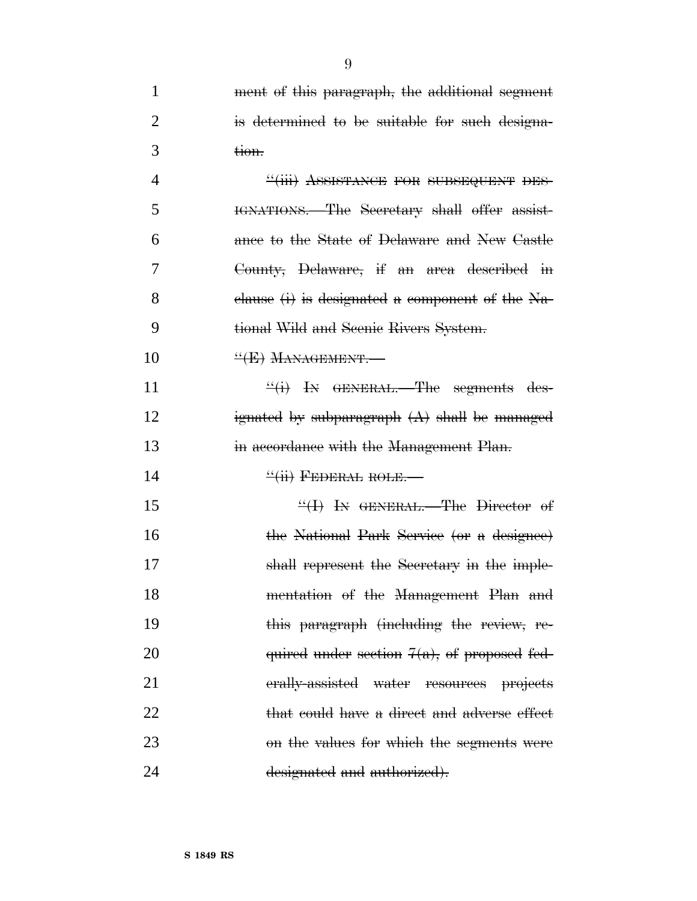| $\mathbf{1}$   | ment of this paragraph, the additional segment                                                                                                                                                                                                                                                                                                                                                                                |
|----------------|-------------------------------------------------------------------------------------------------------------------------------------------------------------------------------------------------------------------------------------------------------------------------------------------------------------------------------------------------------------------------------------------------------------------------------|
| $\overline{2}$ | is determined to be suitable for such designa-                                                                                                                                                                                                                                                                                                                                                                                |
| 3              | <del>tion.</del>                                                                                                                                                                                                                                                                                                                                                                                                              |
| $\overline{4}$ | "(iii) ASSISTANCE FOR SUBSEQUENT DES-                                                                                                                                                                                                                                                                                                                                                                                         |
| 5              | HENATIONS.—The Secretary shall offer assist-                                                                                                                                                                                                                                                                                                                                                                                  |
| 6              | ance to the State of Delaware and New Castle                                                                                                                                                                                                                                                                                                                                                                                  |
| 7              | County, Delaware, if an area described in                                                                                                                                                                                                                                                                                                                                                                                     |
| 8              | clause $(i)$ is designated a component of the Na-                                                                                                                                                                                                                                                                                                                                                                             |
| 9              | tional Wild and Seenie Rivers System.                                                                                                                                                                                                                                                                                                                                                                                         |
| 10             | $\frac{H}{H}$ MANAGEMENT.                                                                                                                                                                                                                                                                                                                                                                                                     |
| 11             | $\frac{d}{dx}(i)$ In GENERAL. The segments des-                                                                                                                                                                                                                                                                                                                                                                               |
| 12             | ignated by subparagraph $(A)$ shall be managed                                                                                                                                                                                                                                                                                                                                                                                |
| 13             | in accordance with the Management Plan.                                                                                                                                                                                                                                                                                                                                                                                       |
| 14             | $\frac{H_{\text{H}}}{H_{\text{H}} + H_{\text{H}} + H_{\text{H}} + H_{\text{H}} + H_{\text{H}} + H_{\text{H}} + H_{\text{H}} + H_{\text{H}} + H_{\text{H}} + H_{\text{H}} + H_{\text{H}} + H_{\text{H}} + H_{\text{H}} + H_{\text{H}} + H_{\text{H}} + H_{\text{H}} + H_{\text{H}} + H_{\text{H}} + H_{\text{H}} + H_{\text{H}} + H_{\text{H}} + H_{\text{H}} + H_{\text{H}} + H_{\text{H}} + H_{\text{H}} + H_{\text{H}} + H$ |
| 15             | $H$ H GENERAL. The Director of                                                                                                                                                                                                                                                                                                                                                                                                |
| 16             | the National Park Service (or a designee)                                                                                                                                                                                                                                                                                                                                                                                     |
| 17             | shall represent the Secretary in the imple-                                                                                                                                                                                                                                                                                                                                                                                   |
| 18             | mentation of the Management Plan and                                                                                                                                                                                                                                                                                                                                                                                          |
| 19             | this paragraph (including the review, re-                                                                                                                                                                                                                                                                                                                                                                                     |
| 20             | quired under section $7(a)$ , of proposed fed-                                                                                                                                                                                                                                                                                                                                                                                |
| 21             | erally-assisted water resources projects                                                                                                                                                                                                                                                                                                                                                                                      |
| 22             | that could have a direct and adverse effect                                                                                                                                                                                                                                                                                                                                                                                   |
| 23             | on the values for which the segments were                                                                                                                                                                                                                                                                                                                                                                                     |
| 24             | designated and authorized).                                                                                                                                                                                                                                                                                                                                                                                                   |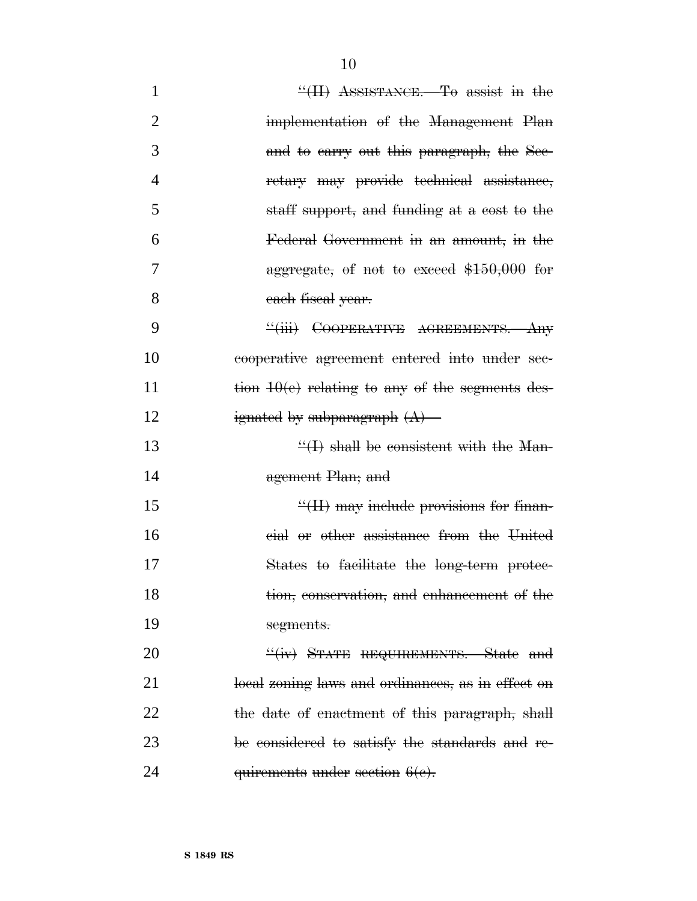| $\mathbf{1}$   | $\frac{H}{H}$ ASSISTANCE. To assist in the        |
|----------------|---------------------------------------------------|
| $\overline{2}$ | implementation of the Management Plan             |
| 3              | and to carry out this paragraph, the Sec-         |
| $\overline{4}$ | retary may provide technical assistance,          |
| 5              | staff support, and funding at a cost to the       |
| 6              | Federal Government in an amount, in the           |
| 7              | aggregate, of not to exceed $$150,000$ for        |
| 8              | each fiscal year.                                 |
| 9              | "(iii) COOPERATIVE AGREEMENTS. Any                |
| 10             | cooperative agreement entered into under sec-     |
| 11             | tion $10(e)$ relating to any of the segments des- |
| 12             | ignated by subparagraph $(A)$ —                   |
| 13             | $\frac{H}{H}$ shall be consistent with the Man-   |
| 14             | agement Plan; and                                 |
| 15             | $\frac{H}{H}$ may include provisions for finan-   |
| 16             | eial or other assistance from the United          |
| 17             | States to facilitate the long-term protec-        |
| 18             | tion, conservation, and enhancement of the        |
| 19             | segments.                                         |
| 20             | "(iv) STATE REQUIREMENTS. State and               |
| 21             | local zoning laws and ordinances, as in effect on |
| 22             | the date of enactment of this paragraph, shall    |
| 23             | be considered to satisfy the standards and re-    |
| 24             | quirements under section 6(e).                    |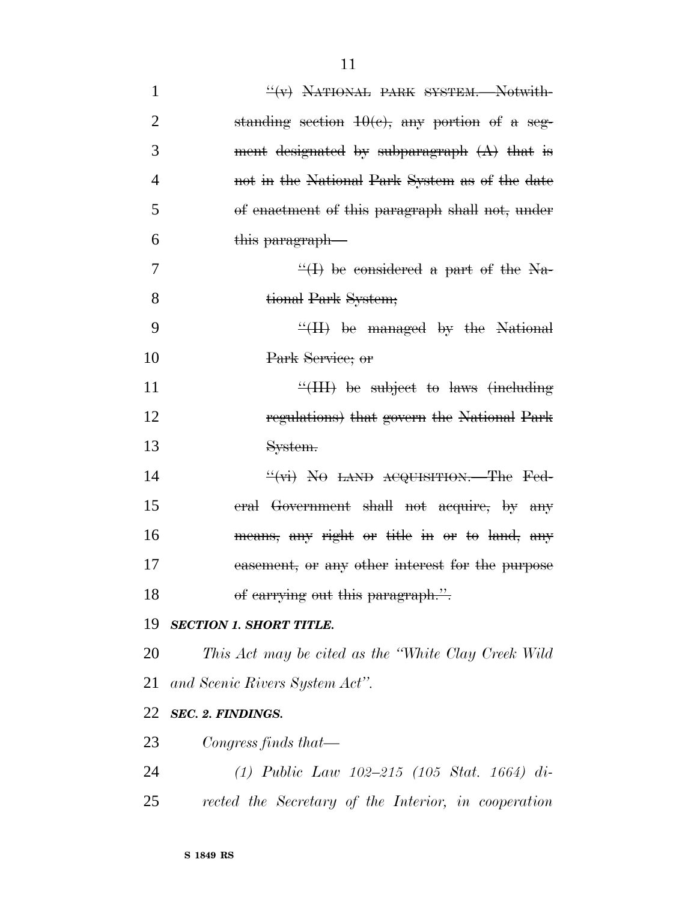| $\mathbf{1}$   | $\frac{H}{V}$ NATIONAL PARK SYSTEM. Notwith-         |
|----------------|------------------------------------------------------|
| $\overline{2}$ | standing section $10(e)$ , any portion of a seg-     |
| 3              | ment designated by subparagraph $(A)$ that is        |
| $\overline{4}$ | not in the National Park System as of the date       |
| 5              | of enactment of this paragraph shall not, under      |
| 6              | this paragraph—                                      |
| 7              | $\frac{H}{H}$ be considered a part of the Na-        |
| 8              | tional Park System;                                  |
| 9              | $\frac{H}{H}$ be managed by the National             |
| 10             | Park Service; or                                     |
| 11             | $\frac{1}{2}$ (III) be subject to laws (including    |
| 12             | regulations) that govern the National Park           |
| 13             | System.                                              |
| 14             | $\frac{H(x)}{B}$ No LAND ACQUISITION. The Fed-       |
| 15             | eral Government shall not acquire, by any            |
| 16             | means, any right or title in or to land, any         |
| 17             | easement, or any other interest for the purpose      |
| 18             | of carrying out this paragraph.".                    |
| 19             | <b>SECTION 1. SHORT TITLE.</b>                       |
| 20             | This Act may be cited as the "White Clay Creek Wild" |
| 21             | and Scenic Rivers System Act".                       |
| 22             | SEC. 2. FINDINGS.                                    |
| 23             | Congress finds that—                                 |
| 24             | (1) Public Law $102-215$ (105 Stat. 1664) di-        |
| 25             | rected the Secretary of the Interior, in cooperation |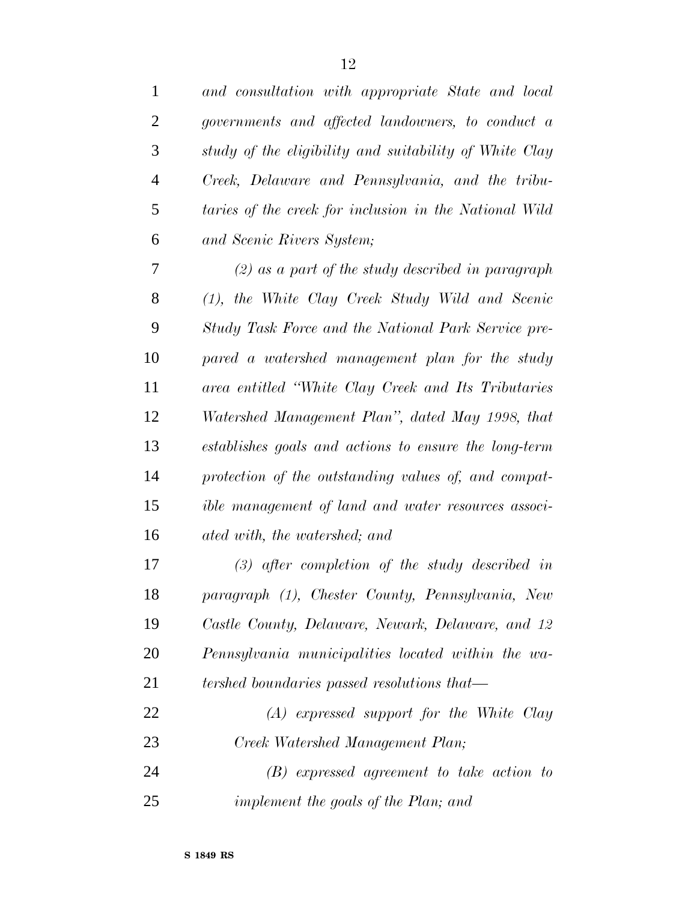| $\mathbf{1}$   | and consultation with appropriate State and local      |
|----------------|--------------------------------------------------------|
| $\overline{2}$ | governments and affected landowners, to conduct a      |
| 3              | study of the eligibility and suitability of White Clay |
| $\overline{4}$ | Creek, Delaware and Pennsylvania, and the tribu-       |
| 5              | taries of the creek for inclusion in the National Wild |
| 6              | and Scenic Rivers System;                              |
| 7              | $(2)$ as a part of the study described in paragraph    |
| 8              | (1), the White Clay Creek Study Wild and Scenic        |
| 9              | Study Task Force and the National Park Service pre-    |
| 10             | pared a watershed management plan for the study        |
| 11             | area entitled "White Clay Creek and Its Tributaries"   |
| 12             | Watershed Management Plan", dated May 1998, that       |
| 13             | establishes goals and actions to ensure the long-term  |
| 14             | protection of the outstanding values of, and compat-   |
| 15             | ible management of land and water resources associ-    |
| 16             | ated with, the watershed; and                          |
| 17             | $(3)$ after completion of the study described in       |
| 18             | paragraph (1), Chester County, Pennsylvania, New       |
| 19             | Castle County, Delaware, Newark, Delaware, and 12      |
| 20             | Pennsylvania municipalities located within the wa-     |
| 21             | tershed boundaries passed resolutions that—            |
| 22             | $(A)$ expressed support for the White Clay             |
| 23             | Creek Watershed Management Plan;                       |
| 24             | $(B)$ expressed agreement to take action to            |
| 25             | implement the goals of the Plan; and                   |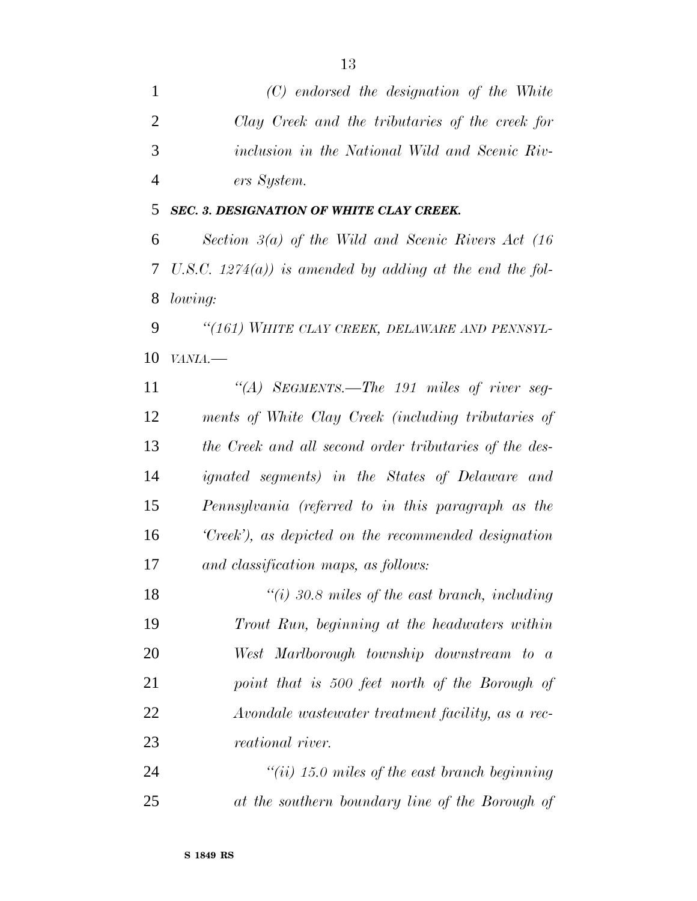*(C) endorsed the designation of the White Clay Creek and the tributaries of the creek for inclusion in the National Wild and Scenic Riv-ers System.*

#### *SEC. 3. DESIGNATION OF WHITE CLAY CREEK.*

 *Section 3(a) of the Wild and Scenic Rivers Act (16 U.S.C. 1274(a)) is amended by adding at the end the fol-lowing:*

 *''(161) WHITE CLAY CREEK, DELAWARE AND PENNSYL-VANIA.—*

 *''(A) SEGMENTS.—The 191 miles of river seg- ments of White Clay Creek (including tributaries of the Creek and all second order tributaries of the des- ignated segments) in the States of Delaware and Pennsylvania (referred to in this paragraph as the 'Creek'), as depicted on the recommended designation and classification maps, as follows:*

 *''(i) 30.8 miles of the east branch, including Trout Run, beginning at the headwaters within West Marlborough township downstream to a point that is 500 feet north of the Borough of Avondale wastewater treatment facility, as a rec-reational river.*

 *''(ii) 15.0 miles of the east branch beginning at the southern boundary line of the Borough of*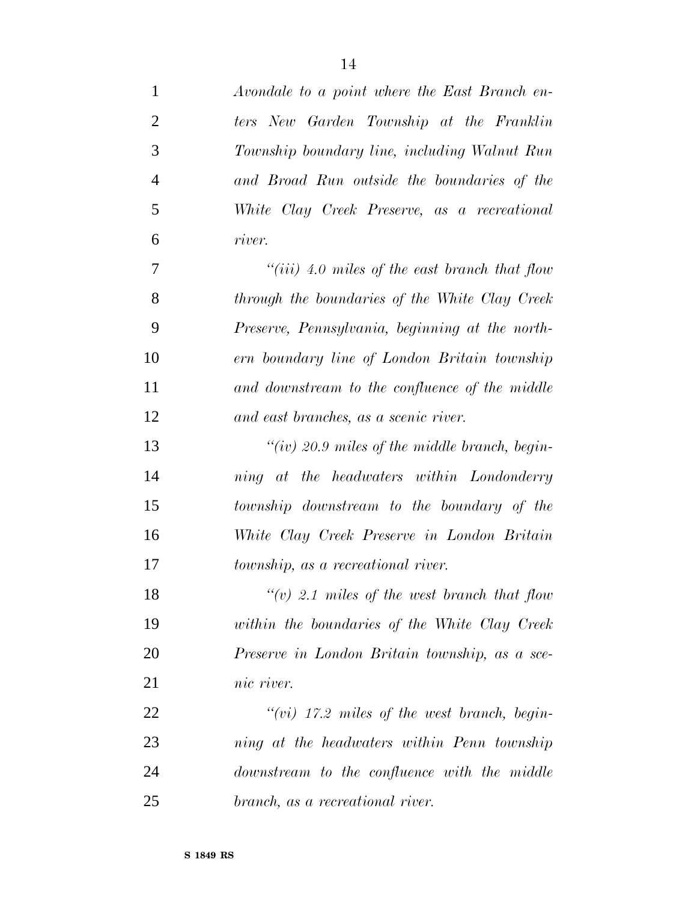| $\mathbf{1}$   | Avondale to a point where the East Branch en-   |
|----------------|-------------------------------------------------|
| $\overline{2}$ | ters New Garden Township at the Franklin        |
| 3              | Township boundary line, including Walnut Run    |
| $\overline{4}$ | and Broad Run outside the boundaries of the     |
| 5              | White Clay Creek Preserve, as a recreational    |
| 6              | river.                                          |
| $\overline{7}$ | "(iii) 4.0 miles of the east branch that flow   |
| 8              | through the boundaries of the White Clay Creek  |
| 9              | Preserve, Pennsylvania, beginning at the north- |
| 10             | ern boundary line of London Britain township    |
| 11             | and downstream to the confluence of the middle  |
| 12             | and east branches, as a scenic river.           |
| 13             | "(iv) 20.9 miles of the middle branch, begin-   |
| 14             | ning at the headwaters within Londonderry       |
| 15             | township downstream to the boundary of the      |
| 16             | White Clay Creek Preserve in London Britain     |
| 17             | <i>township, as a recreational river.</i>       |
| 18             | "(v) 2.1 miles of the west branch that flow     |
| 19             | within the boundaries of the White Clay Creek   |
| 20             | Preserve in London Britain township, as a sce-  |
| 21             | nic river.                                      |
| 22             | " $(vi)$ 17.2 miles of the west branch, begin-  |
| 23             | ning at the headwaters within Penn township     |
| 24             | downstream to the confluence with the middle    |
| 25             | branch, as a recreational river.                |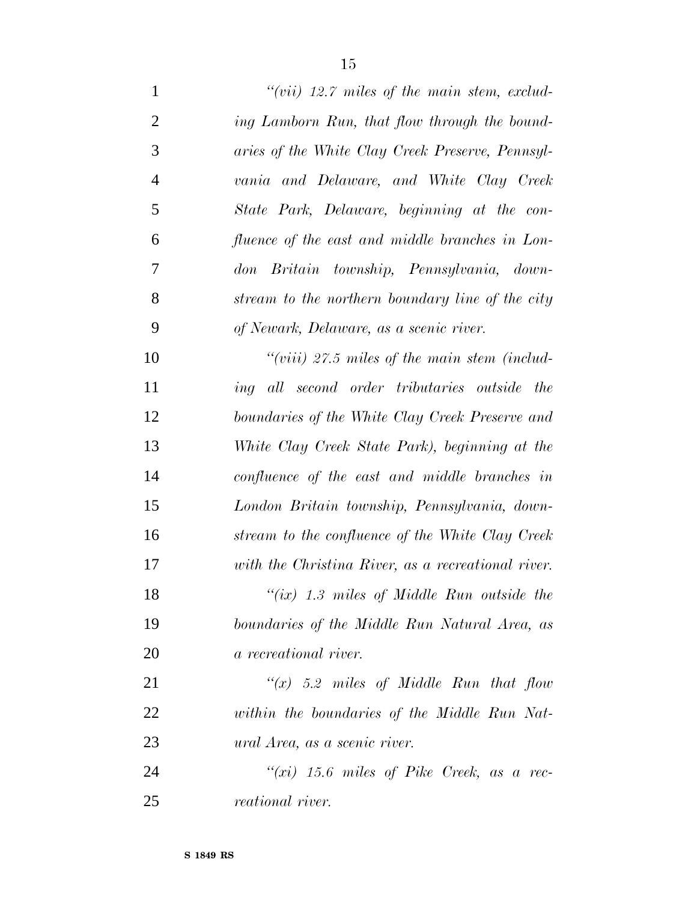| $\mathbf{1}$   | $``(vii)$ 12.7 miles of the main stem, exclud-     |
|----------------|----------------------------------------------------|
| $\overline{2}$ | ing Lamborn Run, that flow through the bound-      |
| 3              | aries of the White Clay Creek Preserve, Pennsyl-   |
| $\overline{4}$ | vania and Delaware, and White Clay Creek           |
| 5              | State Park, Delaware, beginning at the con-        |
| 6              | fluence of the east and middle branches in Lon-    |
| $\tau$         | don Britain township, Pennsylvania, down-          |
| 8              | stream to the northern boundary line of the city   |
| 9              | of Newark, Delaware, as a scenic river.            |
| 10             | "(viii) $27.5$ miles of the main stem (includ-     |
| 11             | ing all second order tributaries outside the       |
| 12             | boundaries of the White Clay Creek Preserve and    |
| 13             | White Clay Creek State Park), beginning at the     |
| 14             | confluence of the east and middle branches in      |
| 15             | London Britain township, Pennsylvania, down-       |
| 16             | stream to the confluence of the White Clay Creek   |
| 17             | with the Christina River, as a recreational river. |
| 18             | " $(ix)$ 1.3 miles of Middle Run outside the       |
| 19             | boundaries of the Middle Run Natural Area, as      |
| 20             | a recreational river.                              |
| 21             | " $(x)$ 5.2 miles of Middle Run that flow          |
| 22             | within the boundaries of the Middle Run Nat-       |
| 23             | ural Area, as a scenic river.                      |
| 24             | " $(xi)$ 15.6 miles of Pike Creek, as a rec-       |
| 25             | <i>reational river.</i>                            |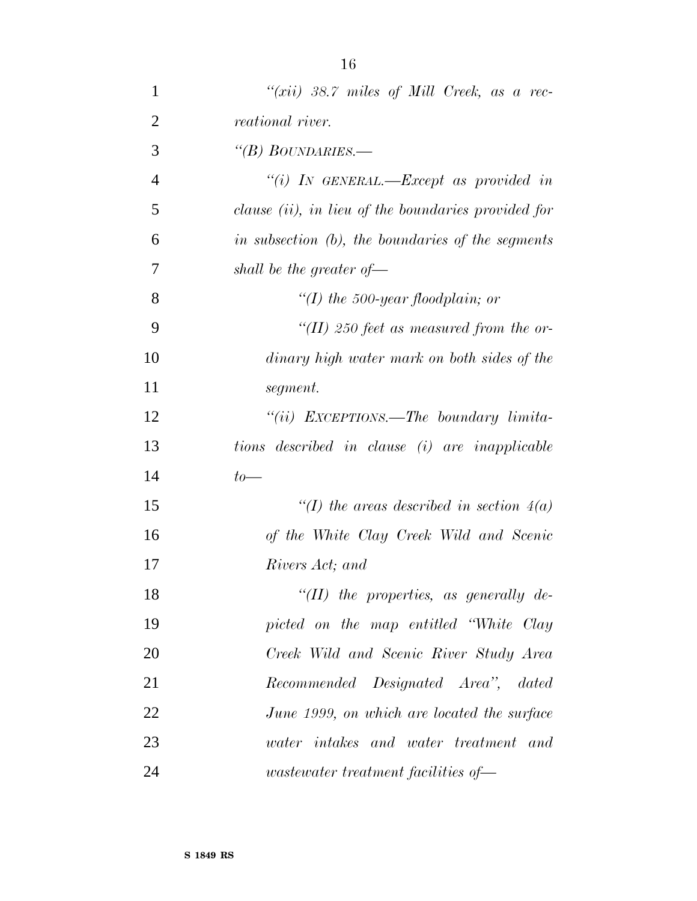| $\mathbf{1}$   | " $(xii)$ 38.7 miles of Mill Creek, as a rec-       |
|----------------|-----------------------------------------------------|
| $\overline{2}$ | <i>reational river.</i>                             |
| 3              | "(B) BOUNDARIES.—                                   |
| $\overline{4}$ | "(i) IN GENERAL.—Except as provided in              |
| 5              | clause (ii), in lieu of the boundaries provided for |
| 6              | in subsection (b), the boundaries of the segments   |
| 7              | shall be the greater of $-$                         |
| 8              | "(I) the 500-year floodplain; or                    |
| 9              | "(II) 250 feet as measured from the or-             |
| 10             | dinary high water mark on both sides of the         |
| 11             | segment.                                            |
| 12             | "(ii) EXCEPTIONS.—The boundary limita-              |
| 13             | tions described in clause (i) are inapplicable      |
| 14             | $to-$                                               |
| 15             | "(I) the areas described in section $4(a)$          |
| 16             | of the White Clay Creek Wild and Scenic             |
| 17             | Rivers Act; and                                     |
| 18             | "( $II$ ) the properties, as generally de-          |
| 19             | picted on the map entitled "White Clay              |
| 20             | Creek Wild and Scenic River Study Area              |
| 21             | Recommended Designated Area", dated                 |
| 22             | June 1999, on which are located the surface         |
| 23             | water intakes and water treatment and               |
| 24             | <i>wastewater treatment facilities of</i> —         |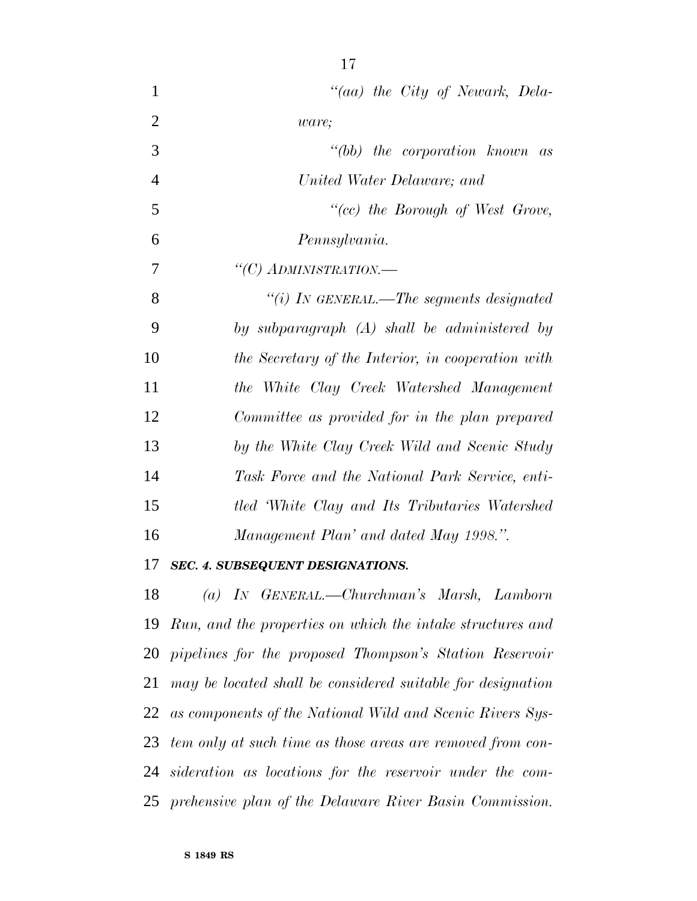*''(aa) the City of Newark, Dela- ware; ''(bb) the corporation known as United Water Delaware; and ''(cc) the Borough of West Grove, Pennsylvania. ''(C) ADMINISTRATION.— ''(i) IN GENERAL.—The segments designated by subparagraph (A) shall be administered by the Secretary of the Interior, in cooperation with the White Clay Creek Watershed Management Committee as provided for in the plan prepared by the White Clay Creek Wild and Scenic Study Task Force and the National Park Service, enti- tled 'White Clay and Its Tributaries Watershed Management Plan' and dated May 1998.''.*

#### *SEC. 4. SUBSEQUENT DESIGNATIONS.*

 *(a) IN GENERAL.—Churchman's Marsh, Lamborn Run, and the properties on which the intake structures and pipelines for the proposed Thompson's Station Reservoir may be located shall be considered suitable for designation as components of the National Wild and Scenic Rivers Sys- tem only at such time as those areas are removed from con- sideration as locations for the reservoir under the com-prehensive plan of the Delaware River Basin Commission.*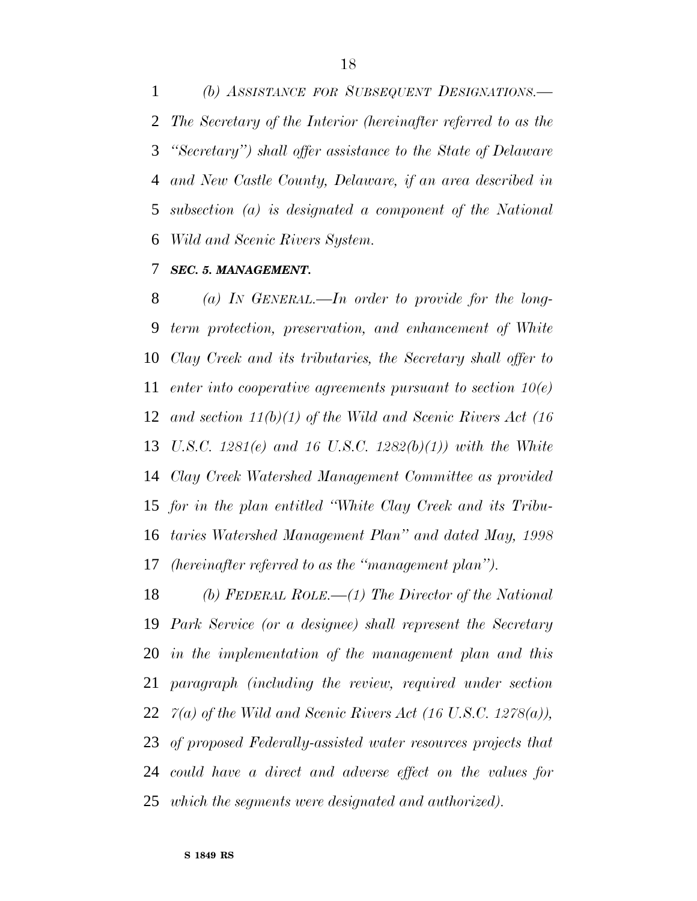*(b) ASSISTANCE FOR SUBSEQUENT DESIGNATIONS.— The Secretary of the Interior (hereinafter referred to as the ''Secretary'') shall offer assistance to the State of Delaware and New Castle County, Delaware, if an area described in subsection (a) is designated a component of the National Wild and Scenic Rivers System.*

#### *SEC. 5. MANAGEMENT.*

 *(a) IN GENERAL.—In order to provide for the long- term protection, preservation, and enhancement of White Clay Creek and its tributaries, the Secretary shall offer to enter into cooperative agreements pursuant to section 10(e) and section 11(b)(1) of the Wild and Scenic Rivers Act (16 U.S.C. 1281(e) and 16 U.S.C. 1282(b)(1)) with the White Clay Creek Watershed Management Committee as provided for in the plan entitled ''White Clay Creek and its Tribu- taries Watershed Management Plan'' and dated May, 1998 (hereinafter referred to as the ''management plan'').*

 *(b) FEDERAL ROLE.—(1) The Director of the National Park Service (or a designee) shall represent the Secretary in the implementation of the management plan and this paragraph (including the review, required under section 7(a) of the Wild and Scenic Rivers Act (16 U.S.C. 1278(a)), of proposed Federally-assisted water resources projects that could have a direct and adverse effect on the values for which the segments were designated and authorized).*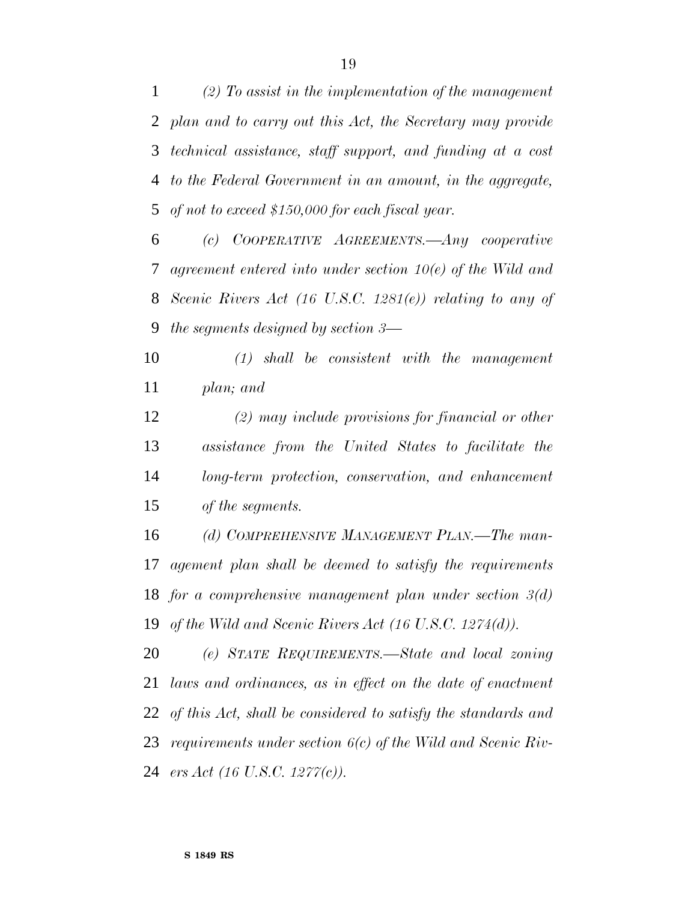*(2) To assist in the implementation of the management plan and to carry out this Act, the Secretary may provide technical assistance, staff support, and funding at a cost to the Federal Government in an amount, in the aggregate, of not to exceed \$150,000 for each fiscal year.*

 *(c) COOPERATIVE AGREEMENTS.—Any cooperative agreement entered into under section 10(e) of the Wild and Scenic Rivers Act (16 U.S.C. 1281(e)) relating to any of the segments designed by section 3—*

 *(1) shall be consistent with the management plan; and*

 *(2) may include provisions for financial or other assistance from the United States to facilitate the long-term protection, conservation, and enhancement of the segments.*

 *(d) COMPREHENSIVE MANAGEMENT PLAN.—The man- agement plan shall be deemed to satisfy the requirements for a comprehensive management plan under section 3(d) of the Wild and Scenic Rivers Act (16 U.S.C. 1274(d)).*

 *(e) STATE REQUIREMENTS.—State and local zoning laws and ordinances, as in effect on the date of enactment of this Act, shall be considered to satisfy the standards and requirements under section 6(c) of the Wild and Scenic Riv-ers Act (16 U.S.C. 1277(c)).*